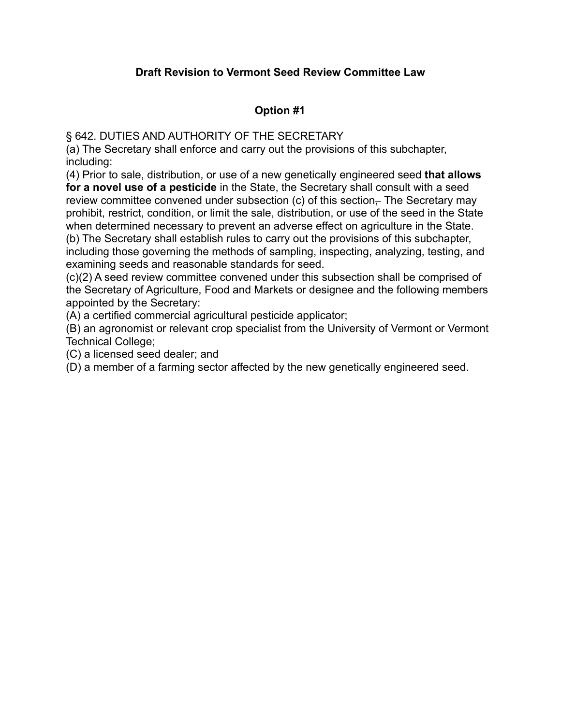## **Draft Revision to Vermont Seed Review Committee Law**

## **Option #1**

§ 642. DUTIES AND AUTHORITY OF THE SECRETARY

(a) The Secretary shall enforce and carry out the provisions of this subchapter, including:

(4) Prior to sale, distribution, or use of a new genetically engineered seed **that allows for a novel use of a pesticide** in the State, the Secretary shall consult with a seed review committee convened under subsection (c) of this section–The Secretary may prohibit, restrict, condition, or limit the sale, distribution, or use of the seed in the State when determined necessary to prevent an adverse effect on agriculture in the State. (b) The Secretary shall establish rules to carry out the provisions of this subchapter, including those governing the methods of sampling, inspecting, analyzing, testing, and

examining seeds and reasonable standards for seed.

(c)(2) A seed review committee convened under this subsection shall be comprised of the Secretary of Agriculture, Food and Markets or designee and the following members appointed by the Secretary:

(A) a certified commercial agricultural pesticide applicator;

(B) an agronomist or relevant crop specialist from the University of Vermont or Vermont Technical College;

(C) a licensed seed dealer; and

(D) a member of a farming sector affected by the new genetically engineered seed.